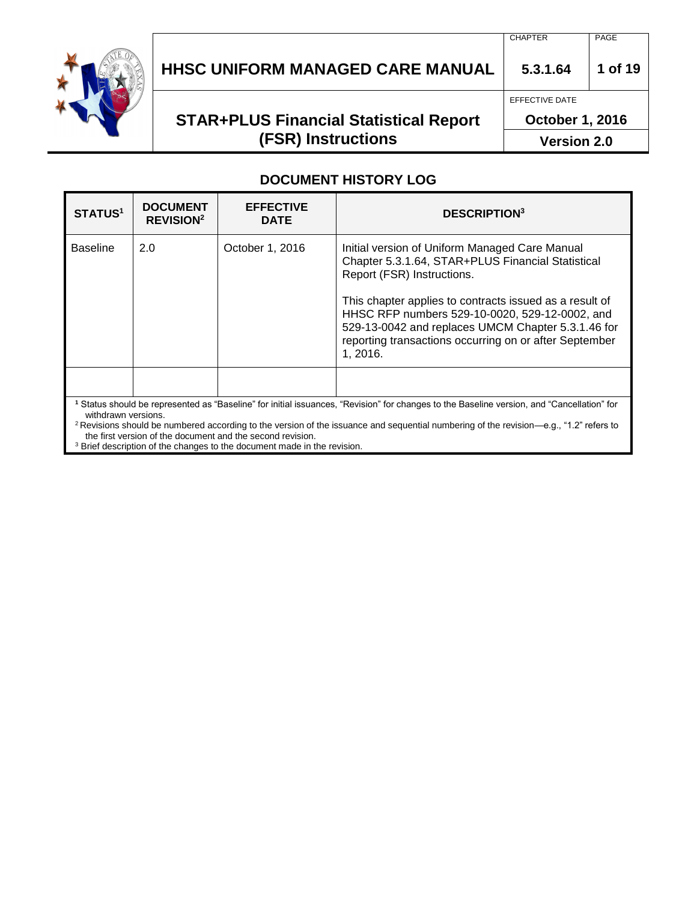

# **STAR+PLUS Financial Statistical Report (FSR) Instructions**

EFFECTIVE DATE

**October 1, 2016**

**Version 2.0**

#### **DOCUMENT HISTORY LOG**

| <b>STATUS1</b>      | <b>DOCUMENT</b><br><b>REVISION<sup>2</sup></b>                                                                                                            | <b>EFFECTIVE</b><br><b>DATE</b> | <b>DESCRIPTION3</b>                                                                                                                                                                                                                                                                                                                                                        |
|---------------------|-----------------------------------------------------------------------------------------------------------------------------------------------------------|---------------------------------|----------------------------------------------------------------------------------------------------------------------------------------------------------------------------------------------------------------------------------------------------------------------------------------------------------------------------------------------------------------------------|
| <b>Baseline</b>     | 2.0                                                                                                                                                       | October 1, 2016                 | Initial version of Uniform Managed Care Manual<br>Chapter 5.3.1.64, STAR+PLUS Financial Statistical<br>Report (FSR) Instructions.<br>This chapter applies to contracts issued as a result of<br>HHSC RFP numbers 529-10-0020, 529-12-0002, and<br>529-13-0042 and replaces UMCM Chapter 5.3.1.46 for<br>reporting transactions occurring on or after September<br>1, 2016. |
| withdrawn versions. |                                                                                                                                                           |                                 | Status should be represented as "Baseline" for initial issuances, "Revision" for changes to the Baseline version, and "Cancellation" for                                                                                                                                                                                                                                   |
|                     | <sup>2</sup> Revisions should be numbered according to the version of the issuance and sequential numbering of the revision—e $\sigma$ $\mu$ 2" refers to |                                 |                                                                                                                                                                                                                                                                                                                                                                            |

<sup>2</sup> Revisions should be numbered according to the version of the issuance and sequential numbering of the revision—e.g., "1.2" refers to the first version of the document and the second revision.

<sup>3</sup> Brief description of the changes to the document made in the revision.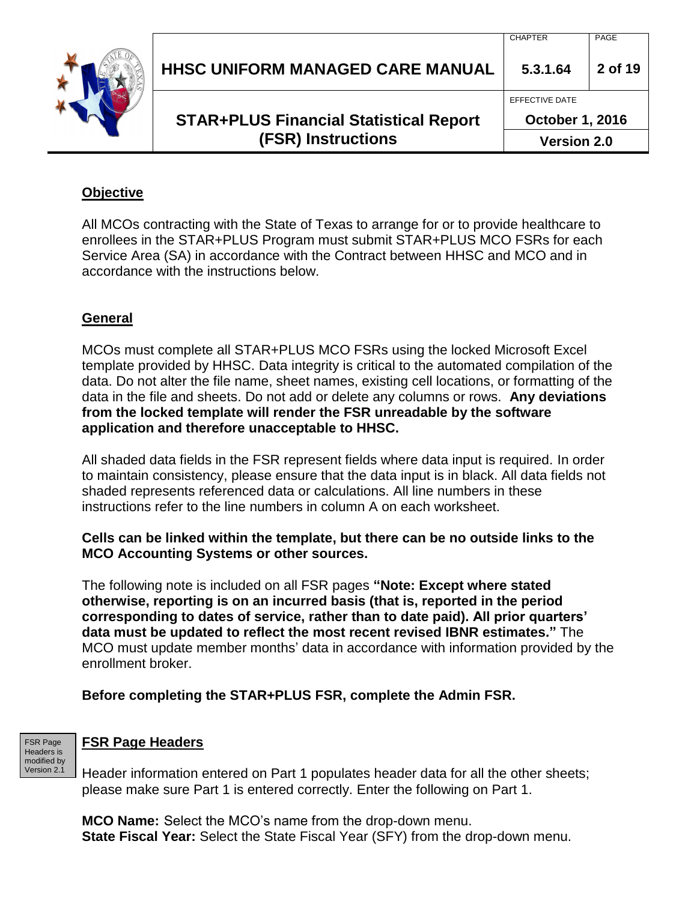|  | <b>(FSR) Instructions</b>                     | <b>Version 2.0</b>     |         |
|--|-----------------------------------------------|------------------------|---------|
|  | <b>STAR+PLUS Financial Statistical Report</b> |                        |         |
|  |                                               | <b>October 1, 2016</b> |         |
|  |                                               | EFFECTIVE DATE         |         |
|  | <b>HHSC UNIFORM MANAGED CARE MANUAL</b>       | 5.3.1.64               | 2 of 19 |
|  |                                               | <b>CHAPTER</b>         | PAGE    |

#### **Objective**

All MCOs contracting with the State of Texas to arrange for or to provide healthcare to enrollees in the STAR+PLUS Program must submit STAR+PLUS MCO FSRs for each Service Area (SA) in accordance with the Contract between HHSC and MCO and in accordance with the instructions below.

#### **General**

MCOs must complete all STAR+PLUS MCO FSRs using the locked Microsoft Excel template provided by HHSC. Data integrity is critical to the automated compilation of the data. Do not alter the file name, sheet names, existing cell locations, or formatting of the data in the file and sheets. Do not add or delete any columns or rows. **Any deviations from the locked template will render the FSR unreadable by the software application and therefore unacceptable to HHSC.**

All shaded data fields in the FSR represent fields where data input is required. In order to maintain consistency, please ensure that the data input is in black. All data fields not shaded represents referenced data or calculations. All line numbers in these instructions refer to the line numbers in column A on each worksheet.

#### **Cells can be linked within the template, but there can be no outside links to the MCO Accounting Systems or other sources.**

The following note is included on all FSR pages **"Note: Except where stated otherwise, reporting is on an incurred basis (that is, reported in the period corresponding to dates of service, rather than to date paid). All prior quarters' data must be updated to reflect the most recent revised IBNR estimates."** The MCO must update member months' data in accordance with information provided by the enrollment broker.

#### **Before completing the STAR+PLUS FSR, complete the Admin FSR.**



#### **FSR Page Headers**

Header information entered on Part 1 populates header data for all the other sheets; please make sure Part 1 is entered correctly. Enter the following on Part 1.

**MCO Name:** Select the MCO's name from the drop-down menu. **State Fiscal Year:** Select the State Fiscal Year (SFY) from the drop-down menu.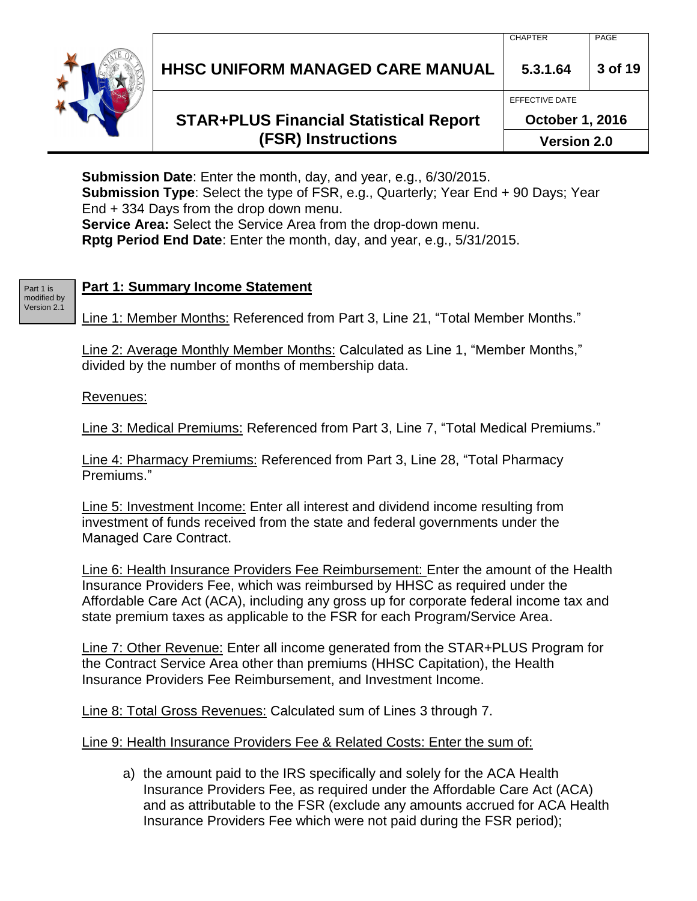# **STAR+PLUS Financial Statistical Report (FSR) Instructions**

**October 1, 2016 Version 2.0**

**Submission Date**: Enter the month, day, and year, e.g., 6/30/2015. **Submission Type**: Select the type of FSR, e.g., Quarterly; Year End + 90 Days; Year End + 334 Days from the drop down menu. **Service Area:** Select the Service Area from the drop-down menu. **Rptg Period End Date**: Enter the month, day, and year, e.g., 5/31/2015.

#### Part 1 is modified by Version 2.1

#### **Part 1: Summary Income Statement**

Line 1: Member Months: Referenced from Part 3, Line 21, "Total Member Months."

Line 2: Average Monthly Member Months: Calculated as Line 1, "Member Months," divided by the number of months of membership data.

#### Revenues:

Line 3: Medical Premiums: Referenced from Part 3, Line 7, "Total Medical Premiums."

Line 4: Pharmacy Premiums: Referenced from Part 3, Line 28, "Total Pharmacy Premiums."

Line 5: Investment Income: Enter all interest and dividend income resulting from investment of funds received from the state and federal governments under the Managed Care Contract.

Line 6: Health Insurance Providers Fee Reimbursement: Enter the amount of the Health Insurance Providers Fee, which was reimbursed by HHSC as required under the Affordable Care Act (ACA), including any gross up for corporate federal income tax and state premium taxes as applicable to the FSR for each Program/Service Area.

Line 7: Other Revenue: Enter all income generated from the STAR+PLUS Program for the Contract Service Area other than premiums (HHSC Capitation), the Health Insurance Providers Fee Reimbursement, and Investment Income.

Line 8: Total Gross Revenues: Calculated sum of Lines 3 through 7.

Line 9: Health Insurance Providers Fee & Related Costs: Enter the sum of:

a) the amount paid to the IRS specifically and solely for the ACA Health Insurance Providers Fee, as required under the Affordable Care Act (ACA) and as attributable to the FSR (exclude any amounts accrued for ACA Health Insurance Providers Fee which were not paid during the FSR period);

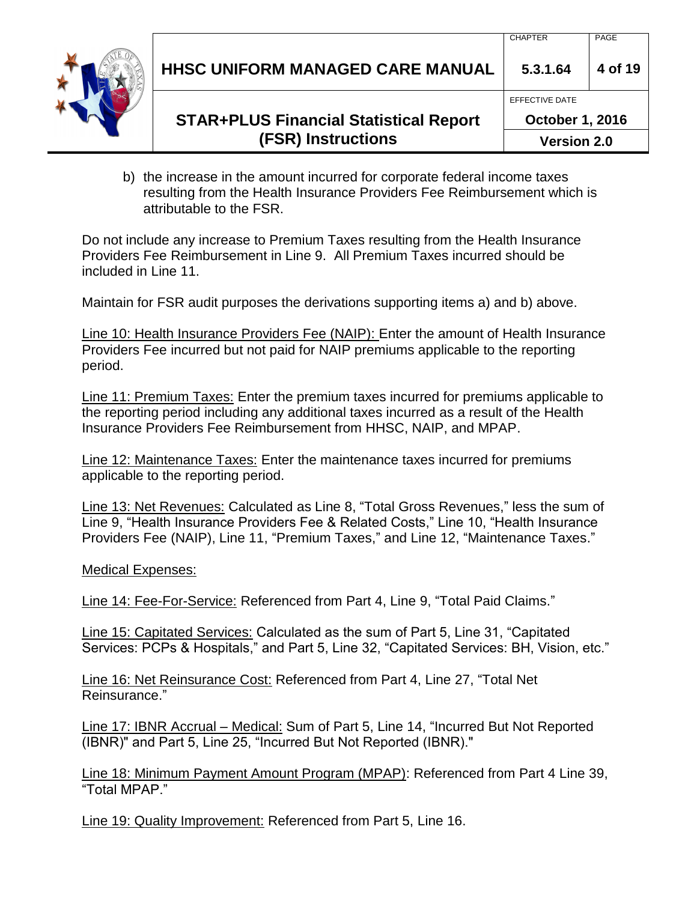| HHSC UNIFORM MANAGED CARE MANUAL 3.3.1.64 4 of 19 |  |
|---------------------------------------------------|--|
|                                                   |  |

# **STAR+PLUS Financial Statistical Report (FSR) Instructions**

- **October 1, 2016 Version 2.0**
- b) the increase in the amount incurred for corporate federal income taxes resulting from the Health Insurance Providers Fee Reimbursement which is attributable to the FSR.

Do not include any increase to Premium Taxes resulting from the Health Insurance Providers Fee Reimbursement in Line 9. All Premium Taxes incurred should be included in Line 11.

Maintain for FSR audit purposes the derivations supporting items a) and b) above.

Line 10: Health Insurance Providers Fee (NAIP): Enter the amount of Health Insurance Providers Fee incurred but not paid for NAIP premiums applicable to the reporting period.

Line 11: Premium Taxes: Enter the premium taxes incurred for premiums applicable to the reporting period including any additional taxes incurred as a result of the Health Insurance Providers Fee Reimbursement from HHSC, NAIP, and MPAP.

Line 12: Maintenance Taxes: Enter the maintenance taxes incurred for premiums applicable to the reporting period.

Line 13: Net Revenues: Calculated as Line 8, "Total Gross Revenues," less the sum of Line 9, "Health Insurance Providers Fee & Related Costs," Line 10, "Health Insurance Providers Fee (NAIP), Line 11, "Premium Taxes," and Line 12, "Maintenance Taxes."

Medical Expenses:

Line 14: Fee-For-Service: Referenced from Part 4, Line 9, "Total Paid Claims."

Line 15: Capitated Services: Calculated as the sum of Part 5, Line 31, "Capitated Services: PCPs & Hospitals," and Part 5, Line 32, "Capitated Services: BH, Vision, etc."

Line 16: Net Reinsurance Cost: Referenced from Part 4, Line 27, "Total Net Reinsurance."

Line 17: IBNR Accrual – Medical: Sum of Part 5, Line 14, "Incurred But Not Reported (IBNR)" and Part 5, Line 25, "Incurred But Not Reported (IBNR)."

Line 18: Minimum Payment Amount Program (MPAP): Referenced from Part 4 Line 39, "Total MPAP."

Line 19: Quality Improvement: Referenced from Part 5, Line 16.

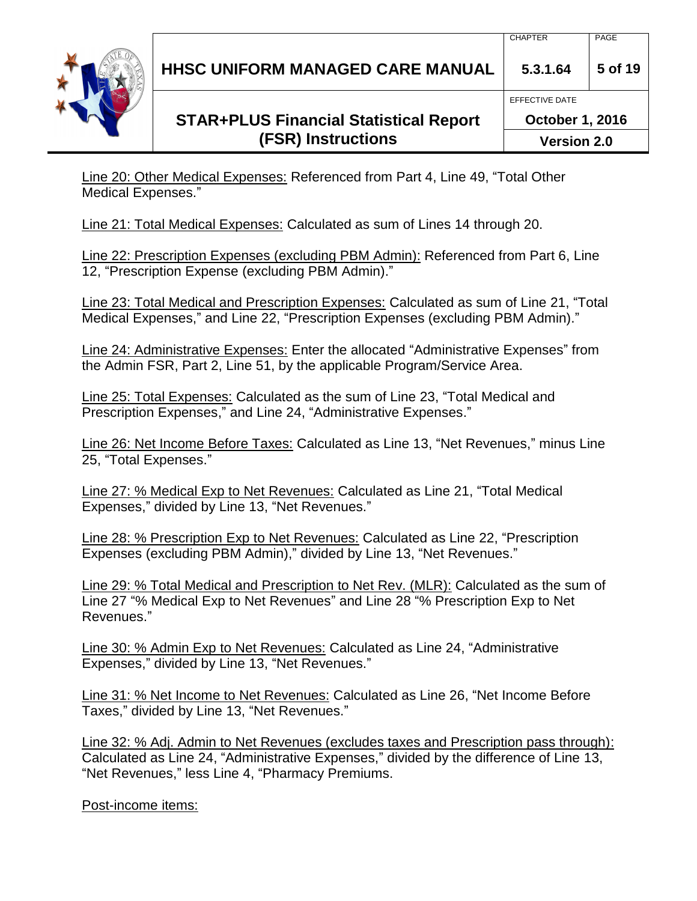# **STAR+PLUS Financial Statistical Report (FSR) Instructions**

**October 1, 2016 Version 2.0**

Line 20: Other Medical Expenses: Referenced from Part 4, Line 49, "Total Other Medical Expenses."

Line 21: Total Medical Expenses: Calculated as sum of Lines 14 through 20.

Line 22: Prescription Expenses (excluding PBM Admin): Referenced from Part 6, Line 12, "Prescription Expense (excluding PBM Admin)."

Line 23: Total Medical and Prescription Expenses: Calculated as sum of Line 21, "Total Medical Expenses," and Line 22, "Prescription Expenses (excluding PBM Admin)."

Line 24: Administrative Expenses: Enter the allocated "Administrative Expenses" from the Admin FSR, Part 2, Line 51, by the applicable Program/Service Area.

Line 25: Total Expenses: Calculated as the sum of Line 23, "Total Medical and Prescription Expenses," and Line 24, "Administrative Expenses."

Line 26: Net Income Before Taxes: Calculated as Line 13, "Net Revenues," minus Line 25, "Total Expenses."

Line 27: % Medical Exp to Net Revenues: Calculated as Line 21, "Total Medical Expenses," divided by Line 13, "Net Revenues."

Line 28: % Prescription Exp to Net Revenues: Calculated as Line 22, "Prescription Expenses (excluding PBM Admin)," divided by Line 13, "Net Revenues."

Line 29: % Total Medical and Prescription to Net Rev. (MLR): Calculated as the sum of Line 27 "% Medical Exp to Net Revenues" and Line 28 "% Prescription Exp to Net Revenues."

Line 30: % Admin Exp to Net Revenues: Calculated as Line 24, "Administrative Expenses," divided by Line 13, "Net Revenues."

Line 31: % Net Income to Net Revenues: Calculated as Line 26, "Net Income Before Taxes," divided by Line 13, "Net Revenues."

Line 32: % Adj. Admin to Net Revenues (excludes taxes and Prescription pass through): Calculated as Line 24, "Administrative Expenses," divided by the difference of Line 13, "Net Revenues," less Line 4, "Pharmacy Premiums.

Post-income items:

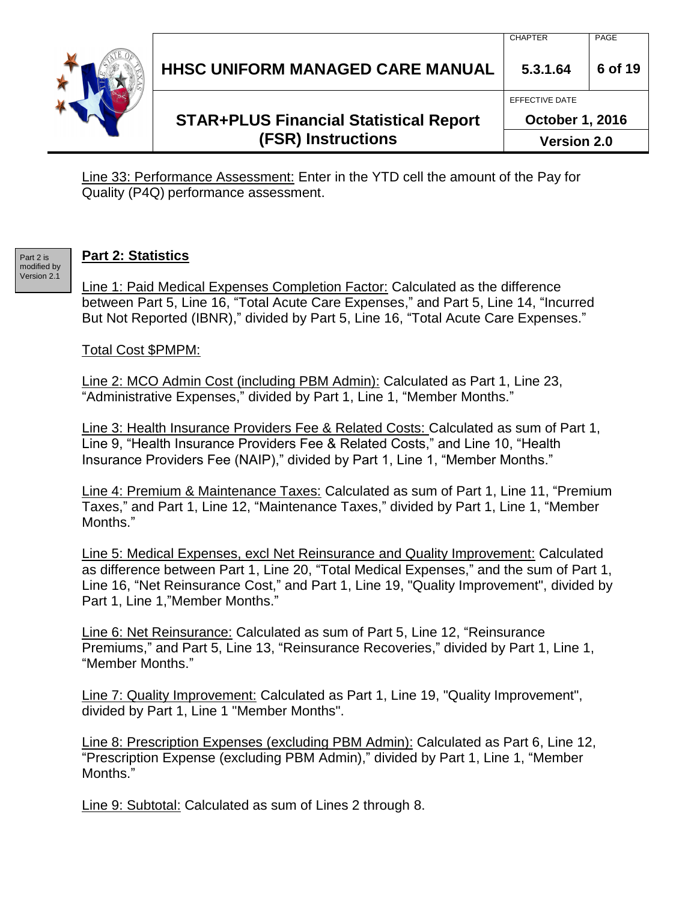|  | <b>(FSR) Instructions</b>                     | <b>Version 2.0</b>     |         |
|--|-----------------------------------------------|------------------------|---------|
|  | <b>STAR+PLUS Financial Statistical Report</b> | <b>October 1, 2016</b> |         |
|  |                                               | <b>EFFECTIVE DATE</b>  |         |
|  | HHSC UNIFORM MANAGED CARE MANUAL              | 5.3.1.64               | 6 of 19 |
|  |                                               | <b>CHAPTER</b>         | PAGE    |

Line 33: Performance Assessment: Enter in the YTD cell the amount of the Pay for Quality (P4Q) performance assessment.

#### **Part 2: Statistics**

Part 2 is modified by Version 2.1

Line 1: Paid Medical Expenses Completion Factor: Calculated as the difference between Part 5, Line 16, "Total Acute Care Expenses," and Part 5, Line 14, "Incurred But Not Reported (IBNR)," divided by Part 5, Line 16, "Total Acute Care Expenses."

#### Total Cost \$PMPM:

Line 2: MCO Admin Cost (including PBM Admin): Calculated as Part 1, Line 23, "Administrative Expenses," divided by Part 1, Line 1, "Member Months."

Line 3: Health Insurance Providers Fee & Related Costs: Calculated as sum of Part 1, Line 9, "Health Insurance Providers Fee & Related Costs," and Line 10, "Health Insurance Providers Fee (NAIP)," divided by Part 1, Line 1, "Member Months."

Line 4: Premium & Maintenance Taxes: Calculated as sum of Part 1, Line 11, "Premium Taxes," and Part 1, Line 12, "Maintenance Taxes," divided by Part 1, Line 1, "Member Months."

Line 5: Medical Expenses, excl Net Reinsurance and Quality Improvement: Calculated as difference between Part 1, Line 20, "Total Medical Expenses," and the sum of Part 1, Line 16, "Net Reinsurance Cost," and Part 1, Line 19, "Quality Improvement", divided by Part 1, Line 1,"Member Months."

Line 6: Net Reinsurance: Calculated as sum of Part 5, Line 12, "Reinsurance Premiums," and Part 5, Line 13, "Reinsurance Recoveries," divided by Part 1, Line 1, "Member Months."

Line 7: Quality Improvement: Calculated as Part 1, Line 19, "Quality Improvement", divided by Part 1, Line 1 "Member Months".

Line 8: Prescription Expenses (excluding PBM Admin): Calculated as Part 6, Line 12, "Prescription Expense (excluding PBM Admin)," divided by Part 1, Line 1, "Member Months."

Line 9: Subtotal: Calculated as sum of Lines 2 through 8.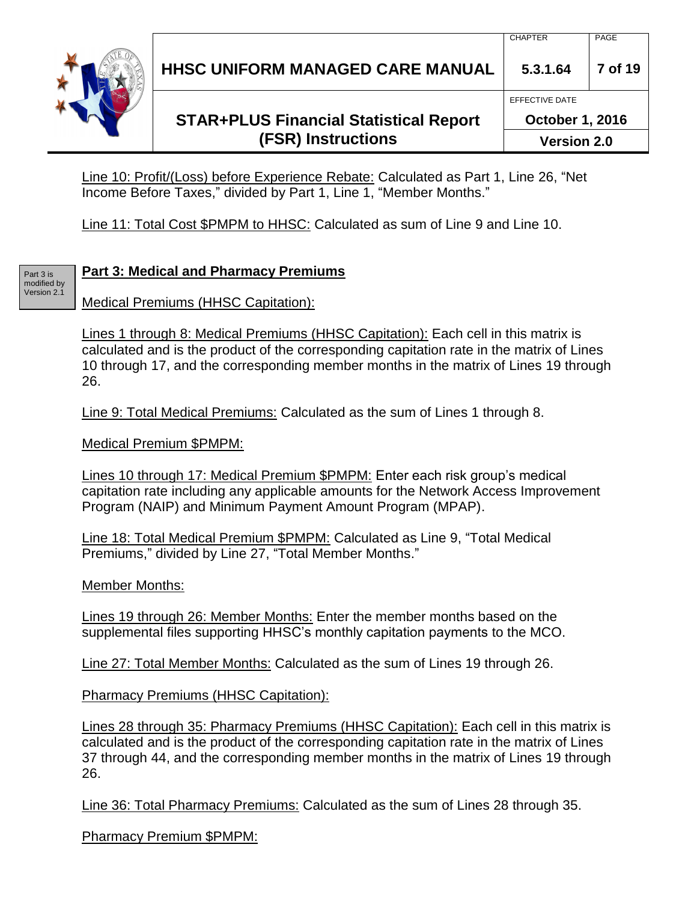

# **STAR+PLUS Financial Statistical Report (FSR) Instructions**

EFFECTIVE DATE

**October 1, 2016**

**Version 2.0**

Line 10: Profit/(Loss) before Experience Rebate: Calculated as Part 1, Line 26, "Net Income Before Taxes," divided by Part 1, Line 1, "Member Months."

Line 11: Total Cost \$PMPM to HHSC: Calculated as sum of Line 9 and Line 10.

#### Part 3 is modified by Version 2.1

# **Part 3: Medical and Pharmacy Premiums**

Medical Premiums (HHSC Capitation):

Lines 1 through 8: Medical Premiums (HHSC Capitation): Each cell in this matrix is calculated and is the product of the corresponding capitation rate in the matrix of Lines 10 through 17, and the corresponding member months in the matrix of Lines 19 through 26.

Line 9: Total Medical Premiums: Calculated as the sum of Lines 1 through 8.

Medical Premium \$PMPM:

Lines 10 through 17: Medical Premium \$PMPM: Enter each risk group's medical capitation rate including any applicable amounts for the Network Access Improvement Program (NAIP) and Minimum Payment Amount Program (MPAP).

Line 18: Total Medical Premium \$PMPM: Calculated as Line 9, "Total Medical Premiums," divided by Line 27, "Total Member Months."

Member Months:

Lines 19 through 26: Member Months: Enter the member months based on the supplemental files supporting HHSC's monthly capitation payments to the MCO.

Line 27: Total Member Months: Calculated as the sum of Lines 19 through 26.

Pharmacy Premiums (HHSC Capitation):

Lines 28 through 35: Pharmacy Premiums (HHSC Capitation): Each cell in this matrix is calculated and is the product of the corresponding capitation rate in the matrix of Lines 37 through 44, and the corresponding member months in the matrix of Lines 19 through 26.

Line 36: Total Pharmacy Premiums: Calculated as the sum of Lines 28 through 35.

Pharmacy Premium \$PMPM: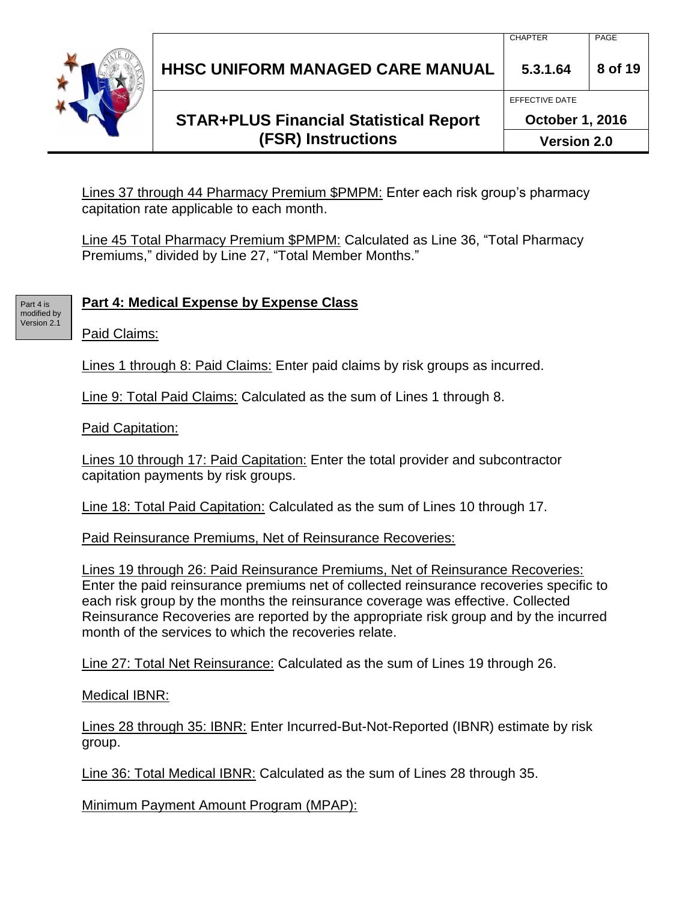

# **STAR+PLUS Financial Statistical Report (FSR) Instructions**

CHAPTER PAGE

EFFECTIVE DATE

Lines 37 through 44 Pharmacy Premium \$PMPM: Enter each risk group's pharmacy capitation rate applicable to each month.

Line 45 Total Pharmacy Premium \$PMPM: Calculated as Line 36, "Total Pharmacy Premiums," divided by Line 27, "Total Member Months."

# **Part 4: Medical Expense by Expense Class**

Paid Claims:

Part 4 is modified by Version 2.1

Lines 1 through 8: Paid Claims: Enter paid claims by risk groups as incurred.

Line 9: Total Paid Claims: Calculated as the sum of Lines 1 through 8.

Paid Capitation:

Lines 10 through 17: Paid Capitation: Enter the total provider and subcontractor capitation payments by risk groups.

Line 18: Total Paid Capitation: Calculated as the sum of Lines 10 through 17.

Paid Reinsurance Premiums, Net of Reinsurance Recoveries:

Lines 19 through 26: Paid Reinsurance Premiums, Net of Reinsurance Recoveries: Enter the paid reinsurance premiums net of collected reinsurance recoveries specific to each risk group by the months the reinsurance coverage was effective. Collected Reinsurance Recoveries are reported by the appropriate risk group and by the incurred month of the services to which the recoveries relate.

Line 27: Total Net Reinsurance: Calculated as the sum of Lines 19 through 26.

Medical IBNR:

Lines 28 through 35: IBNR: Enter Incurred-But-Not-Reported (IBNR) estimate by risk group.

Line 36: Total Medical IBNR: Calculated as the sum of Lines 28 through 35.

Minimum Payment Amount Program (MPAP):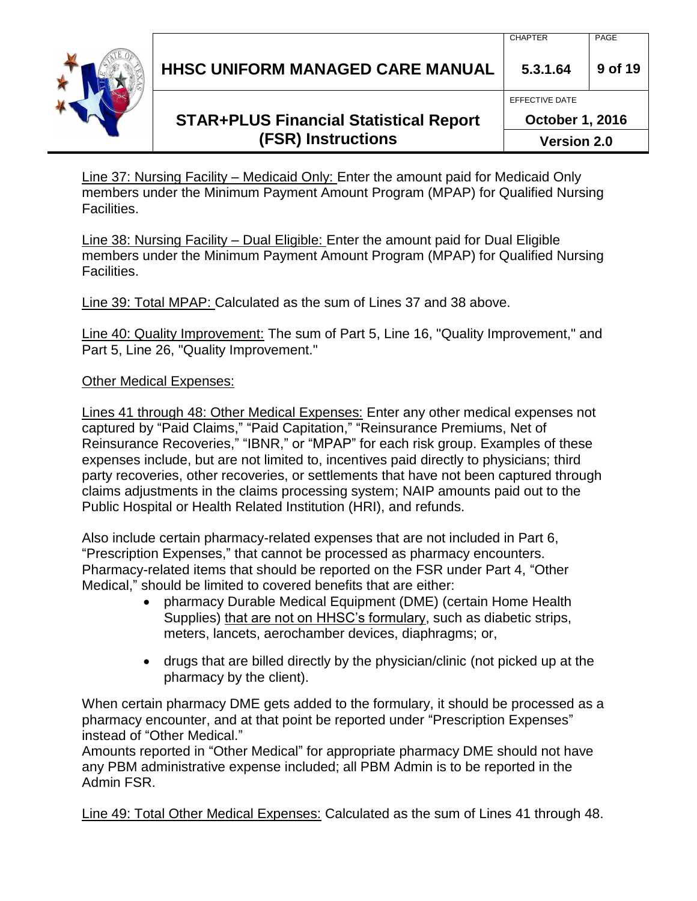| HHSC UNIFORM MANAGED CARE MANUAL 3.3.1.64 9 of 19 |  |
|---------------------------------------------------|--|
|                                                   |  |

EFFECTIVE DATE

**October 1, 2016**

**Version 2.0**

Line 37: Nursing Facility – Medicaid Only: Enter the amount paid for Medicaid Only members under the Minimum Payment Amount Program (MPAP) for Qualified Nursing Facilities.

Line 38: Nursing Facility – Dual Eligible: Enter the amount paid for Dual Eligible members under the Minimum Payment Amount Program (MPAP) for Qualified Nursing Facilities.

Line 39: Total MPAP: Calculated as the sum of Lines 37 and 38 above.

Line 40: Quality Improvement: The sum of Part 5, Line 16, "Quality Improvement," and Part 5, Line 26, "Quality Improvement."

### Other Medical Expenses:

Lines 41 through 48: Other Medical Expenses: Enter any other medical expenses not captured by "Paid Claims," "Paid Capitation," "Reinsurance Premiums, Net of Reinsurance Recoveries," "IBNR," or "MPAP" for each risk group. Examples of these expenses include, but are not limited to, incentives paid directly to physicians; third party recoveries, other recoveries, or settlements that have not been captured through claims adjustments in the claims processing system; NAIP amounts paid out to the Public Hospital or Health Related Institution (HRI), and refunds.

Also include certain pharmacy-related expenses that are not included in Part 6, "Prescription Expenses," that cannot be processed as pharmacy encounters. Pharmacy-related items that should be reported on the FSR under Part 4, "Other Medical," should be limited to covered benefits that are either:

- pharmacy Durable Medical Equipment (DME) (certain Home Health Supplies) that are not on HHSC's formulary, such as diabetic strips, meters, lancets, aerochamber devices, diaphragms; or,
- drugs that are billed directly by the physician/clinic (not picked up at the pharmacy by the client).

When certain pharmacy DME gets added to the formulary, it should be processed as a pharmacy encounter, and at that point be reported under "Prescription Expenses" instead of "Other Medical."

Amounts reported in "Other Medical" for appropriate pharmacy DME should not have any PBM administrative expense included; all PBM Admin is to be reported in the Admin FSR.

Line 49: Total Other Medical Expenses: Calculated as the sum of Lines 41 through 48.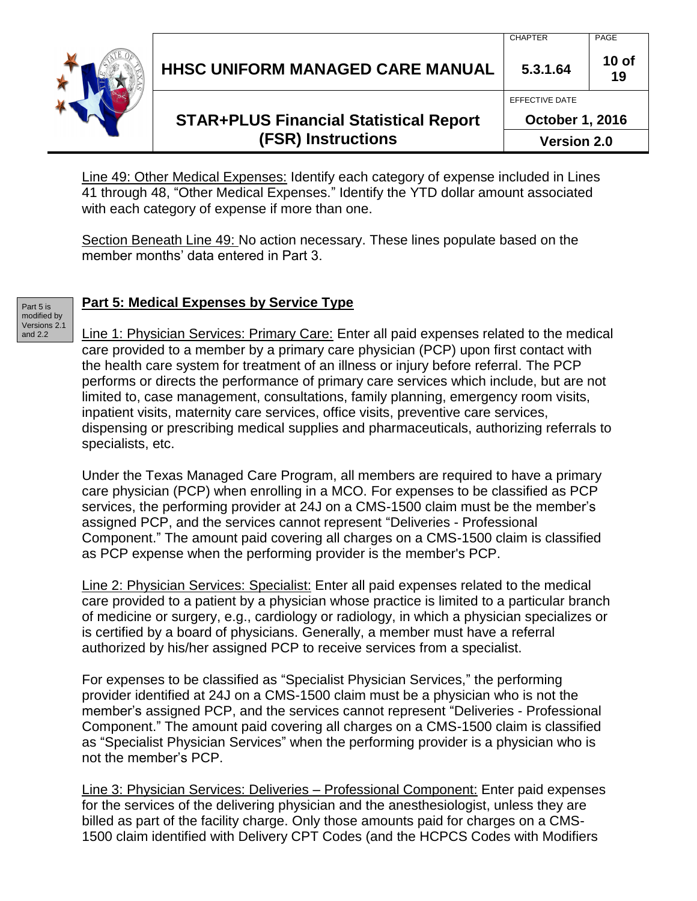

# **STAR+PLUS Financial Statistical Report (FSR) Instructions**

**19** EFFECTIVE DATE **October 1, 2016**

CHAPTER PAGE

**Version 2.0**

**10 of** 

Line 49: Other Medical Expenses: Identify each category of expense included in Lines 41 through 48, "Other Medical Expenses." Identify the YTD dollar amount associated with each category of expense if more than one.

Section Beneath Line 49: No action necessary. These lines populate based on the member months' data entered in Part 3.

Part 5 is modified by Versions 2.1 and 2.2

# **Part 5: Medical Expenses by Service Type**

Line 1: Physician Services: Primary Care: Enter all paid expenses related to the medical care provided to a member by a primary care physician (PCP) upon first contact with the health care system for treatment of an illness or injury before referral. The PCP performs or directs the performance of primary care services which include, but are not limited to, case management, consultations, family planning, emergency room visits, inpatient visits, maternity care services, office visits, preventive care services, dispensing or prescribing medical supplies and pharmaceuticals, authorizing referrals to specialists, etc.

Under the Texas Managed Care Program, all members are required to have a primary care physician (PCP) when enrolling in a MCO. For expenses to be classified as PCP services, the performing provider at 24J on a CMS-1500 claim must be the member's assigned PCP, and the services cannot represent "Deliveries - Professional Component." The amount paid covering all charges on a CMS-1500 claim is classified as PCP expense when the performing provider is the member's PCP.

Line 2: Physician Services: Specialist: Enter all paid expenses related to the medical care provided to a patient by a physician whose practice is limited to a particular branch of medicine or surgery, e.g., cardiology or radiology, in which a physician specializes or is certified by a board of physicians. Generally, a member must have a referral authorized by his/her assigned PCP to receive services from a specialist.

For expenses to be classified as "Specialist Physician Services," the performing provider identified at 24J on a CMS-1500 claim must be a physician who is not the member's assigned PCP, and the services cannot represent "Deliveries - Professional Component." The amount paid covering all charges on a CMS-1500 claim is classified as "Specialist Physician Services" when the performing provider is a physician who is not the member's PCP.

Line 3: Physician Services: Deliveries – Professional Component: Enter paid expenses for the services of the delivering physician and the anesthesiologist, unless they are billed as part of the facility charge. Only those amounts paid for charges on a CMS-1500 claim identified with Delivery CPT Codes (and the HCPCS Codes with Modifiers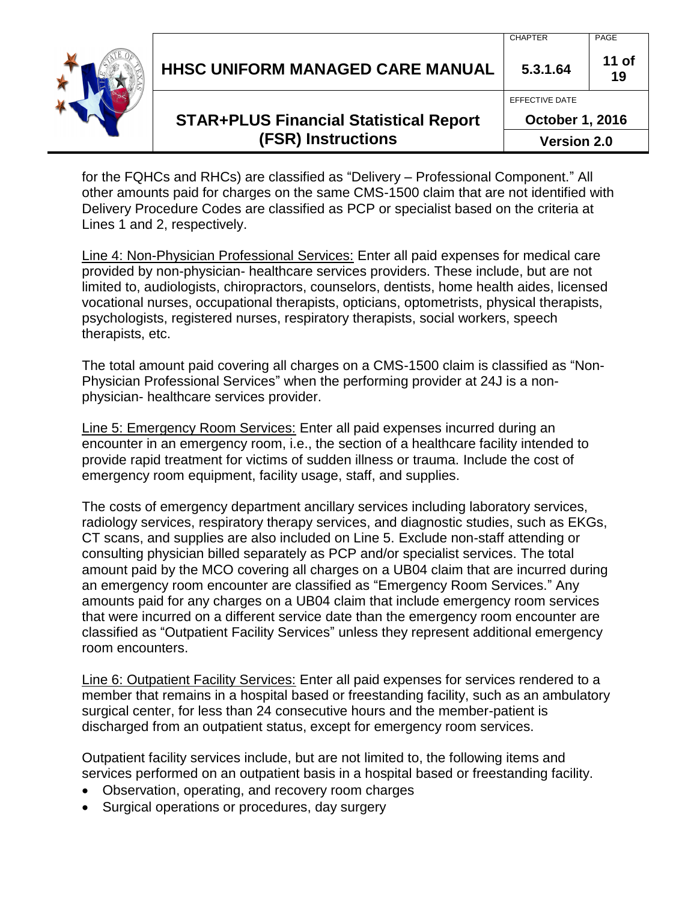| <b>HHSC UNIFORM MANAGED CARE MANUAL</b>       | <b>CHAPTER</b><br>5.3.1.64 | PAGE<br>$11$ of |
|-----------------------------------------------|----------------------------|-----------------|
|                                               | EFFECTIVE DATE             |                 |
| <b>STAR+PLUS Financial Statistical Report</b> | <b>October 1, 2016</b>     |                 |

# **(FSR) Instructions**

**Version 2.0**

for the FQHCs and RHCs) are classified as "Delivery – Professional Component." All other amounts paid for charges on the same CMS-1500 claim that are not identified with Delivery Procedure Codes are classified as PCP or specialist based on the criteria at Lines 1 and 2, respectively.

Line 4: Non-Physician Professional Services: Enter all paid expenses for medical care provided by non-physician- healthcare services providers. These include, but are not limited to, audiologists, chiropractors, counselors, dentists, home health aides, licensed vocational nurses, occupational therapists, opticians, optometrists, physical therapists, psychologists, registered nurses, respiratory therapists, social workers, speech therapists, etc.

The total amount paid covering all charges on a CMS-1500 claim is classified as "Non-Physician Professional Services" when the performing provider at 24J is a nonphysician- healthcare services provider.

Line 5: Emergency Room Services: Enter all paid expenses incurred during an encounter in an emergency room, i.e., the section of a healthcare facility intended to provide rapid treatment for victims of sudden illness or trauma. Include the cost of emergency room equipment, facility usage, staff, and supplies.

The costs of emergency department ancillary services including laboratory services, radiology services, respiratory therapy services, and diagnostic studies, such as EKGs, CT scans, and supplies are also included on Line 5. Exclude non-staff attending or consulting physician billed separately as PCP and/or specialist services. The total amount paid by the MCO covering all charges on a UB04 claim that are incurred during an emergency room encounter are classified as "Emergency Room Services." Any amounts paid for any charges on a UB04 claim that include emergency room services that were incurred on a different service date than the emergency room encounter are classified as "Outpatient Facility Services" unless they represent additional emergency room encounters.

Line 6: Outpatient Facility Services: Enter all paid expenses for services rendered to a member that remains in a hospital based or freestanding facility, such as an ambulatory surgical center, for less than 24 consecutive hours and the member-patient is discharged from an outpatient status, except for emergency room services.

Outpatient facility services include, but are not limited to, the following items and services performed on an outpatient basis in a hospital based or freestanding facility.

- Observation, operating, and recovery room charges
- Surgical operations or procedures, day surgery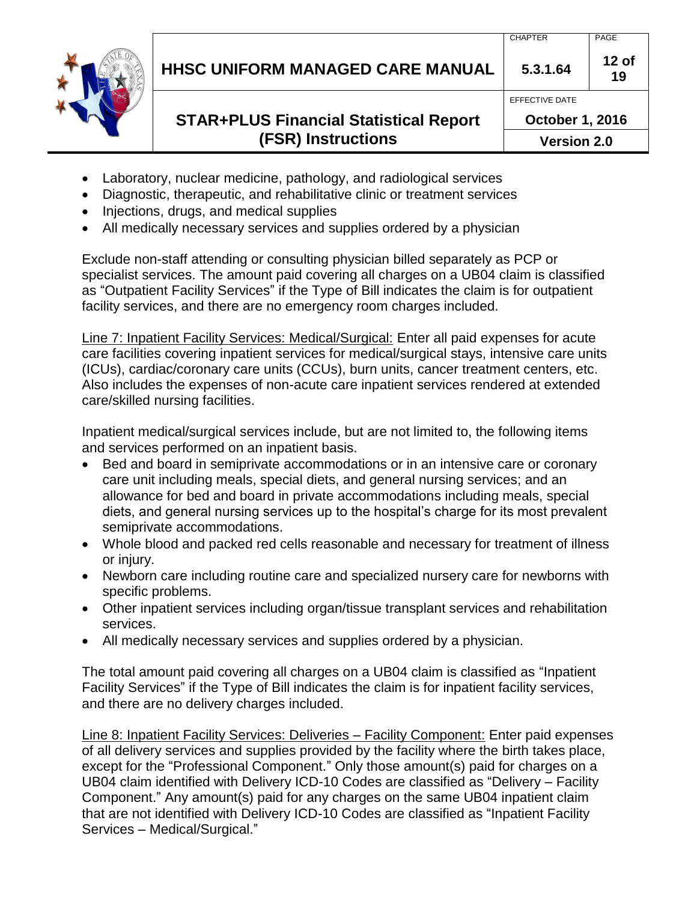# **STAR+PLUS Financial Statistical Report (FSR) Instructions**

- Laboratory, nuclear medicine, pathology, and radiological services
- Diagnostic, therapeutic, and rehabilitative clinic or treatment services
- Injections, drugs, and medical supplies
- All medically necessary services and supplies ordered by a physician

Exclude non-staff attending or consulting physician billed separately as PCP or specialist services. The amount paid covering all charges on a UB04 claim is classified as "Outpatient Facility Services" if the Type of Bill indicates the claim is for outpatient facility services, and there are no emergency room charges included.

Line 7: Inpatient Facility Services: Medical/Surgical: Enter all paid expenses for acute care facilities covering inpatient services for medical/surgical stays, intensive care units (ICUs), cardiac/coronary care units (CCUs), burn units, cancer treatment centers, etc. Also includes the expenses of non-acute care inpatient services rendered at extended care/skilled nursing facilities.

Inpatient medical/surgical services include, but are not limited to, the following items and services performed on an inpatient basis.

- Bed and board in semiprivate accommodations or in an intensive care or coronary care unit including meals, special diets, and general nursing services; and an allowance for bed and board in private accommodations including meals, special diets, and general nursing services up to the hospital's charge for its most prevalent semiprivate accommodations.
- Whole blood and packed red cells reasonable and necessary for treatment of illness or injury.
- Newborn care including routine care and specialized nursery care for newborns with specific problems.
- Other inpatient services including organ/tissue transplant services and rehabilitation services.
- All medically necessary services and supplies ordered by a physician.

The total amount paid covering all charges on a UB04 claim is classified as "Inpatient Facility Services" if the Type of Bill indicates the claim is for inpatient facility services, and there are no delivery charges included.

Line 8: Inpatient Facility Services: Deliveries – Facility Component: Enter paid expenses of all delivery services and supplies provided by the facility where the birth takes place, except for the "Professional Component." Only those amount(s) paid for charges on a UB04 claim identified with Delivery ICD-10 Codes are classified as "Delivery – Facility Component." Any amount(s) paid for any charges on the same UB04 inpatient claim that are not identified with Delivery ICD-10 Codes are classified as "Inpatient Facility Services – Medical/Surgical."

**12 of 19**

EFFECTIVE DATE

**October 1, 2016**

**Version 2.0**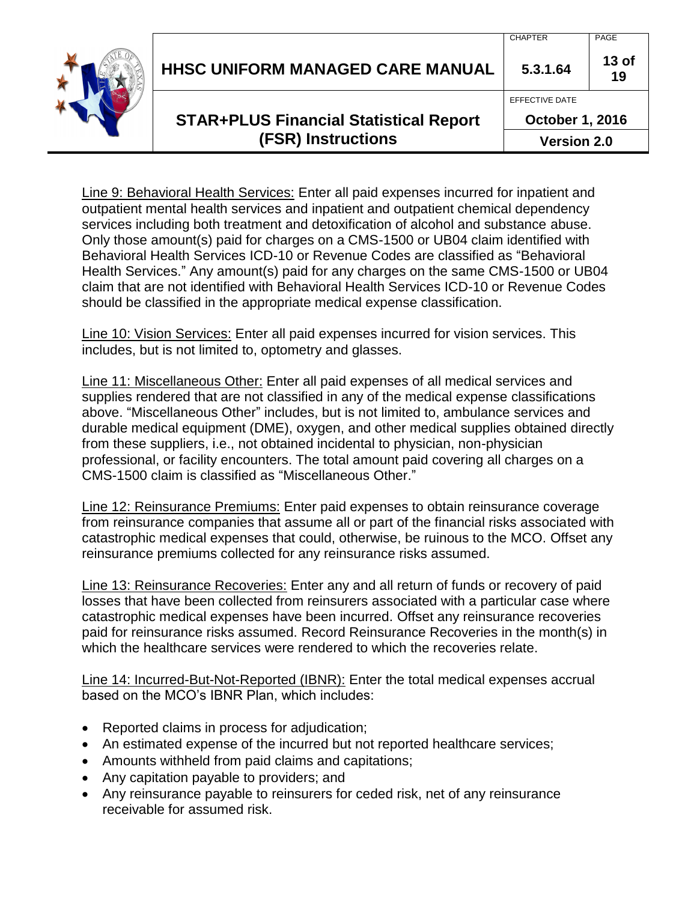| <b>HHSC UNIFORM MANAGED CARE MANUAL</b>       | 5.3.1.64<br>EFFECTIVE DATE | 13 <sub>of</sub><br>19 |
|-----------------------------------------------|----------------------------|------------------------|
| <b>STAR+PLUS Financial Statistical Report</b> | <b>October 1, 2016</b>     |                        |
| <b>(FSR) Instructions</b>                     | <b>Version 2.0</b>         |                        |

Line 9: Behavioral Health Services: Enter all paid expenses incurred for inpatient and outpatient mental health services and inpatient and outpatient chemical dependency services including both treatment and detoxification of alcohol and substance abuse. Only those amount(s) paid for charges on a CMS-1500 or UB04 claim identified with Behavioral Health Services ICD-10 or Revenue Codes are classified as "Behavioral Health Services." Any amount(s) paid for any charges on the same CMS-1500 or UB04 claim that are not identified with Behavioral Health Services ICD-10 or Revenue Codes should be classified in the appropriate medical expense classification.

Line 10: Vision Services: Enter all paid expenses incurred for vision services. This includes, but is not limited to, optometry and glasses.

Line 11: Miscellaneous Other: Enter all paid expenses of all medical services and supplies rendered that are not classified in any of the medical expense classifications above. "Miscellaneous Other" includes, but is not limited to, ambulance services and durable medical equipment (DME), oxygen, and other medical supplies obtained directly from these suppliers, i.e., not obtained incidental to physician, non-physician professional, or facility encounters. The total amount paid covering all charges on a CMS-1500 claim is classified as "Miscellaneous Other."

Line 12: Reinsurance Premiums: Enter paid expenses to obtain reinsurance coverage from reinsurance companies that assume all or part of the financial risks associated with catastrophic medical expenses that could, otherwise, be ruinous to the MCO. Offset any reinsurance premiums collected for any reinsurance risks assumed.

Line 13: Reinsurance Recoveries: Enter any and all return of funds or recovery of paid losses that have been collected from reinsurers associated with a particular case where catastrophic medical expenses have been incurred. Offset any reinsurance recoveries paid for reinsurance risks assumed. Record Reinsurance Recoveries in the month(s) in which the healthcare services were rendered to which the recoveries relate.

Line 14: Incurred-But-Not-Reported (IBNR): Enter the total medical expenses accrual based on the MCO's IBNR Plan, which includes:

- Reported claims in process for adjudication;
- An estimated expense of the incurred but not reported healthcare services;
- Amounts withheld from paid claims and capitations;
- Any capitation payable to providers; and
- Any reinsurance payable to reinsurers for ceded risk, net of any reinsurance receivable for assumed risk.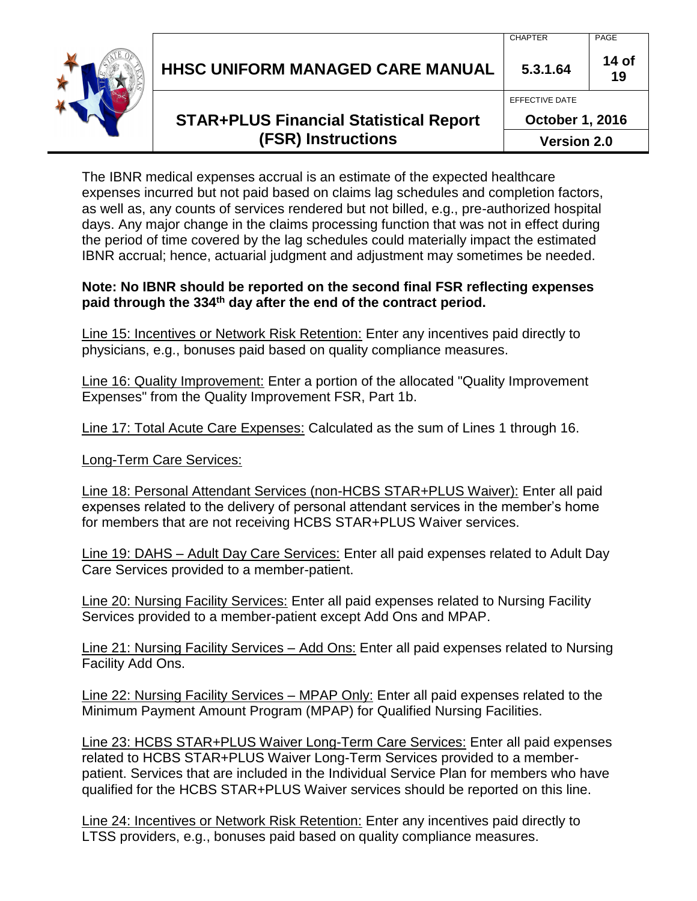| HHSC UNIFORM MANAGED CARE MANUAL                                           | 5.3.1.64<br>EFFECTIVE DATE                   | 14 of<br>19 |
|----------------------------------------------------------------------------|----------------------------------------------|-------------|
| <b>STAR+PLUS Financial Statistical Report</b><br><b>(FSR) Instructions</b> | <b>October 1, 2016</b><br><b>Version 2.0</b> |             |

The IBNR medical expenses accrual is an estimate of the expected healthcare expenses incurred but not paid based on claims lag schedules and completion factors, as well as, any counts of services rendered but not billed, e.g., pre-authorized hospital days. Any major change in the claims processing function that was not in effect during the period of time covered by the lag schedules could materially impact the estimated IBNR accrual; hence, actuarial judgment and adjustment may sometimes be needed.

#### **Note: No IBNR should be reported on the second final FSR reflecting expenses paid through the 334th day after the end of the contract period.**

Line 15: Incentives or Network Risk Retention: Enter any incentives paid directly to physicians, e.g., bonuses paid based on quality compliance measures.

Line 16: Quality Improvement: Enter a portion of the allocated "Quality Improvement Expenses" from the Quality Improvement FSR, Part 1b.

Line 17: Total Acute Care Expenses: Calculated as the sum of Lines 1 through 16.

Long-Term Care Services:

Line 18: Personal Attendant Services (non-HCBS STAR+PLUS Waiver): Enter all paid expenses related to the delivery of personal attendant services in the member's home for members that are not receiving HCBS STAR+PLUS Waiver services.

Line 19: DAHS – Adult Day Care Services: Enter all paid expenses related to Adult Day Care Services provided to a member-patient.

Line 20: Nursing Facility Services: Enter all paid expenses related to Nursing Facility Services provided to a member-patient except Add Ons and MPAP.

Line 21: Nursing Facility Services – Add Ons: Enter all paid expenses related to Nursing Facility Add Ons.

Line 22: Nursing Facility Services - MPAP Only: Enter all paid expenses related to the Minimum Payment Amount Program (MPAP) for Qualified Nursing Facilities.

Line 23: HCBS STAR+PLUS Waiver Long-Term Care Services: Enter all paid expenses related to HCBS STAR+PLUS Waiver Long-Term Services provided to a memberpatient. Services that are included in the Individual Service Plan for members who have qualified for the HCBS STAR+PLUS Waiver services should be reported on this line.

Line 24: Incentives or Network Risk Retention: Enter any incentives paid directly to LTSS providers, e.g., bonuses paid based on quality compliance measures.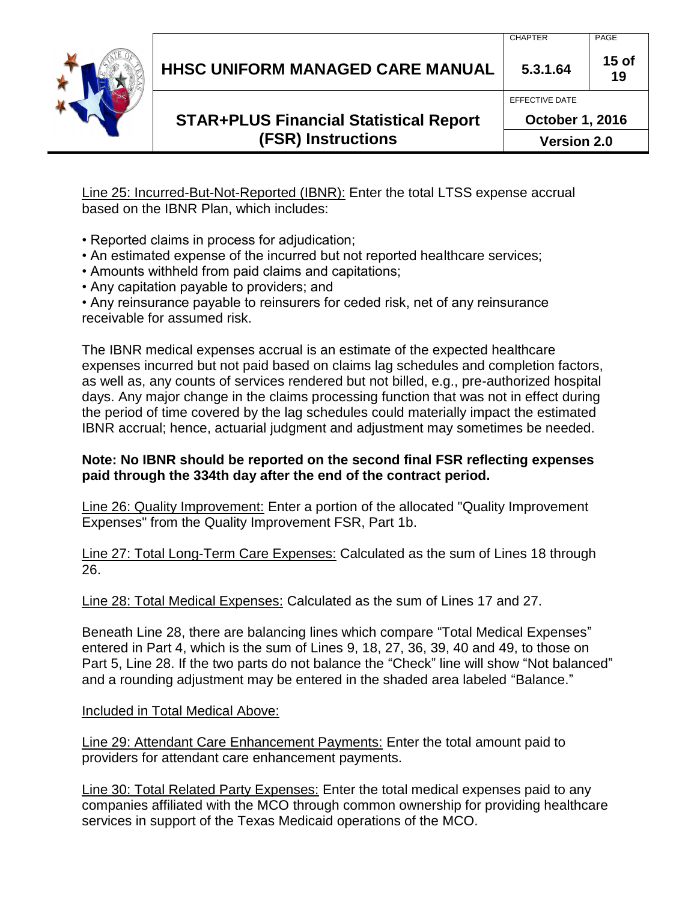# **STAR+PLUS Financial Statistical Report (FSR) Instructions**

**October 1, 2016 Version 2.0**

Line 25: Incurred-But-Not-Reported (IBNR): Enter the total LTSS expense accrual based on the IBNR Plan, which includes:

- Reported claims in process for adjudication;
- An estimated expense of the incurred but not reported healthcare services;
- Amounts withheld from paid claims and capitations;
- Any capitation payable to providers; and

• Any reinsurance payable to reinsurers for ceded risk, net of any reinsurance receivable for assumed risk.

The IBNR medical expenses accrual is an estimate of the expected healthcare expenses incurred but not paid based on claims lag schedules and completion factors, as well as, any counts of services rendered but not billed, e.g., pre-authorized hospital days. Any major change in the claims processing function that was not in effect during the period of time covered by the lag schedules could materially impact the estimated IBNR accrual; hence, actuarial judgment and adjustment may sometimes be needed.

#### **Note: No IBNR should be reported on the second final FSR reflecting expenses paid through the 334th day after the end of the contract period.**

Line 26: Quality Improvement: Enter a portion of the allocated "Quality Improvement Expenses" from the Quality Improvement FSR, Part 1b.

Line 27: Total Long-Term Care Expenses: Calculated as the sum of Lines 18 through 26.

Line 28: Total Medical Expenses: Calculated as the sum of Lines 17 and 27.

Beneath Line 28, there are balancing lines which compare "Total Medical Expenses" entered in Part 4, which is the sum of Lines 9, 18, 27, 36, 39, 40 and 49, to those on Part 5, Line 28. If the two parts do not balance the "Check" line will show "Not balanced" and a rounding adjustment may be entered in the shaded area labeled "Balance."

Included in Total Medical Above:

Line 29: Attendant Care Enhancement Payments: Enter the total amount paid to providers for attendant care enhancement payments.

Line 30: Total Related Party Expenses: Enter the total medical expenses paid to any companies affiliated with the MCO through common ownership for providing healthcare services in support of the Texas Medicaid operations of the MCO.



**15 of 19**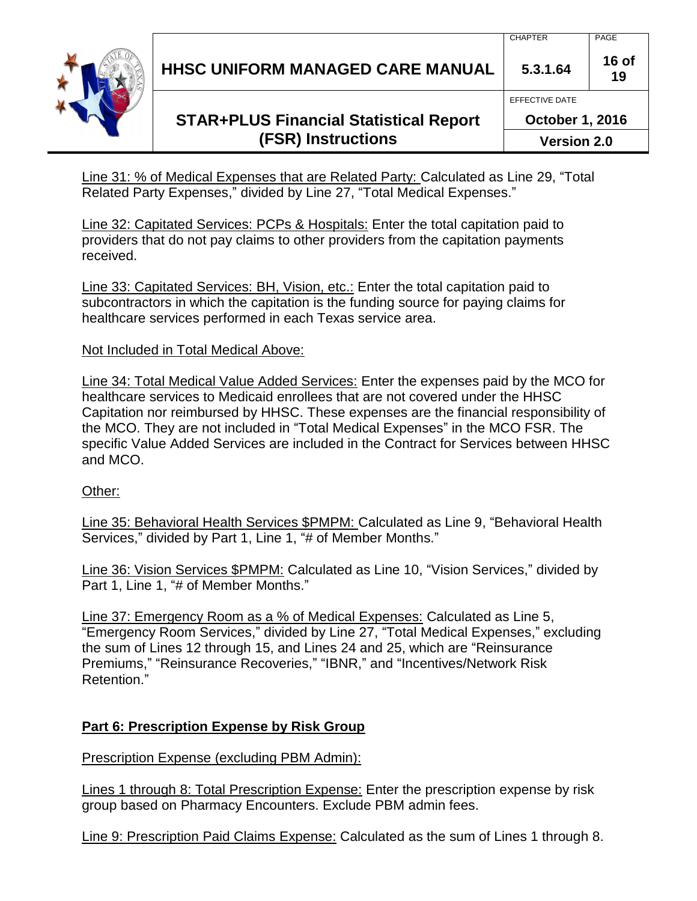# **STAR+PLUS Financial Statistical Report (FSR) Instructions**

Line 31: % of Medical Expenses that are Related Party: Calculated as Line 29, "Total Related Party Expenses," divided by Line 27, "Total Medical Expenses."

Line 32: Capitated Services: PCPs & Hospitals: Enter the total capitation paid to providers that do not pay claims to other providers from the capitation payments received.

Line 33: Capitated Services: BH, Vision, etc.: Enter the total capitation paid to subcontractors in which the capitation is the funding source for paying claims for healthcare services performed in each Texas service area.

#### Not Included in Total Medical Above:

Line 34: Total Medical Value Added Services: Enter the expenses paid by the MCO for healthcare services to Medicaid enrollees that are not covered under the HHSC Capitation nor reimbursed by HHSC. These expenses are the financial responsibility of the MCO. They are not included in "Total Medical Expenses" in the MCO FSR. The specific Value Added Services are included in the Contract for Services between HHSC and MCO.

#### Other:

Line 35: Behavioral Health Services \$PMPM: Calculated as Line 9, "Behavioral Health Services," divided by Part 1, Line 1, "# of Member Months."

Line 36: Vision Services \$PMPM: Calculated as Line 10, "Vision Services," divided by Part 1, Line 1, "# of Member Months."

Line 37: Emergency Room as a % of Medical Expenses: Calculated as Line 5, "Emergency Room Services," divided by Line 27, "Total Medical Expenses," excluding the sum of Lines 12 through 15, and Lines 24 and 25, which are "Reinsurance Premiums," "Reinsurance Recoveries," "IBNR," and "Incentives/Network Risk Retention."

### **Part 6: Prescription Expense by Risk Group**

Prescription Expense (excluding PBM Admin):

Lines 1 through 8: Total Prescription Expense: Enter the prescription expense by risk group based on Pharmacy Encounters. Exclude PBM admin fees.

Line 9: Prescription Paid Claims Expense: Calculated as the sum of Lines 1 through 8.



**16 of** 

**19**

EFFECTIVE DATE

**October 1, 2016**

**Version 2.0**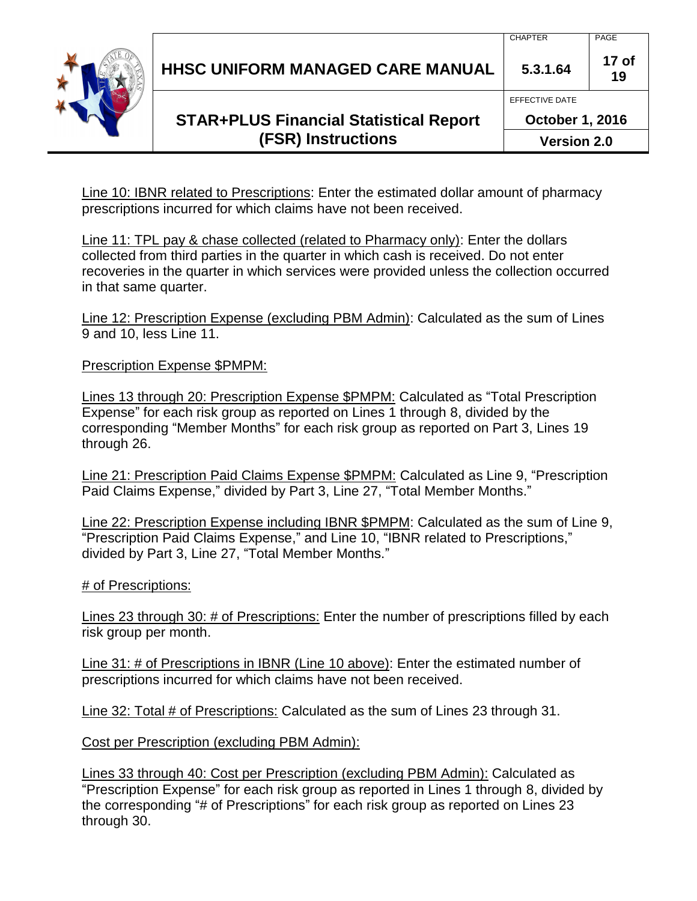# **STAR+PLUS Financial Statistical Report (FSR) Instructions**

**October 1, 2016 Version 2.0**

**17 of 19**

CHAPTER | PAGE

EFFECTIVE DATE

Line 10: IBNR related to Prescriptions: Enter the estimated dollar amount of pharmacy prescriptions incurred for which claims have not been received.

Line 11: TPL pay & chase collected (related to Pharmacy only): Enter the dollars collected from third parties in the quarter in which cash is received. Do not enter recoveries in the quarter in which services were provided unless the collection occurred in that same quarter.

Line 12: Prescription Expense (excluding PBM Admin): Calculated as the sum of Lines 9 and 10, less Line 11.

Prescription Expense \$PMPM:

Lines 13 through 20: Prescription Expense \$PMPM: Calculated as "Total Prescription Expense" for each risk group as reported on Lines 1 through 8, divided by the corresponding "Member Months" for each risk group as reported on Part 3, Lines 19 through 26.

Line 21: Prescription Paid Claims Expense \$PMPM: Calculated as Line 9, "Prescription Paid Claims Expense," divided by Part 3, Line 27, "Total Member Months."

Line 22: Prescription Expense including IBNR \$PMPM: Calculated as the sum of Line 9, "Prescription Paid Claims Expense," and Line 10, "IBNR related to Prescriptions," divided by Part 3, Line 27, "Total Member Months."

# of Prescriptions:

Lines 23 through 30: # of Prescriptions: Enter the number of prescriptions filled by each risk group per month.

Line 31: # of Prescriptions in IBNR (Line 10 above): Enter the estimated number of prescriptions incurred for which claims have not been received.

Line 32: Total # of Prescriptions: Calculated as the sum of Lines 23 through 31.

Cost per Prescription (excluding PBM Admin):

Lines 33 through 40: Cost per Prescription (excluding PBM Admin): Calculated as "Prescription Expense" for each risk group as reported in Lines 1 through 8, divided by the corresponding "# of Prescriptions" for each risk group as reported on Lines 23 through 30.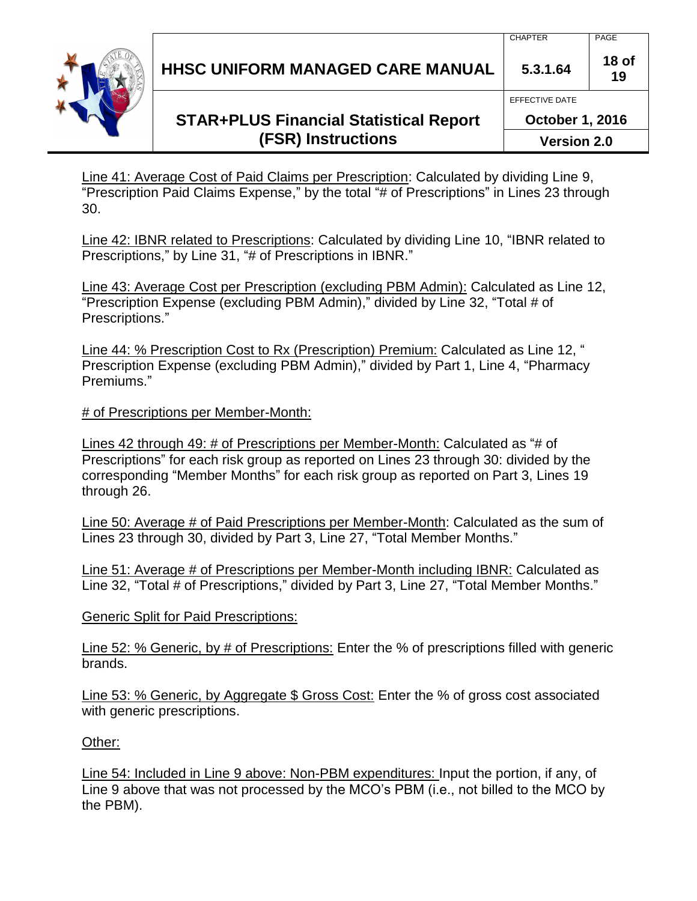# **STAR+PLUS Financial Statistical Report (FSR) Instructions**

Line 41: Average Cost of Paid Claims per Prescription: Calculated by dividing Line 9, "Prescription Paid Claims Expense," by the total "# of Prescriptions" in Lines 23 through 30.

Line 42: IBNR related to Prescriptions: Calculated by dividing Line 10, "IBNR related to Prescriptions," by Line 31, "# of Prescriptions in IBNR."

Line 43: Average Cost per Prescription (excluding PBM Admin): Calculated as Line 12, "Prescription Expense (excluding PBM Admin)," divided by Line 32, "Total # of Prescriptions."

Line 44: % Prescription Cost to Rx (Prescription) Premium: Calculated as Line 12, " Prescription Expense (excluding PBM Admin)," divided by Part 1, Line 4, "Pharmacy Premiums."

# of Prescriptions per Member-Month:

Lines 42 through 49: # of Prescriptions per Member-Month: Calculated as "# of Prescriptions" for each risk group as reported on Lines 23 through 30: divided by the corresponding "Member Months" for each risk group as reported on Part 3, Lines 19 through 26.

Line 50: Average # of Paid Prescriptions per Member-Month: Calculated as the sum of Lines 23 through 30, divided by Part 3, Line 27, "Total Member Months."

Line 51: Average # of Prescriptions per Member-Month including IBNR: Calculated as Line 32, "Total # of Prescriptions," divided by Part 3, Line 27, "Total Member Months."

Generic Split for Paid Prescriptions:

Line 52: % Generic, by # of Prescriptions: Enter the % of prescriptions filled with generic brands.

Line 53: % Generic, by Aggregate \$ Gross Cost: Enter the % of gross cost associated with generic prescriptions.

Other:

Line 54: Included in Line 9 above: Non-PBM expenditures: Input the portion, if any, of Line 9 above that was not processed by the MCO's PBM (i.e., not billed to the MCO by the PBM).



**18 of 19**

EFFECTIVE DATE

**October 1, 2016 Version 2.0**